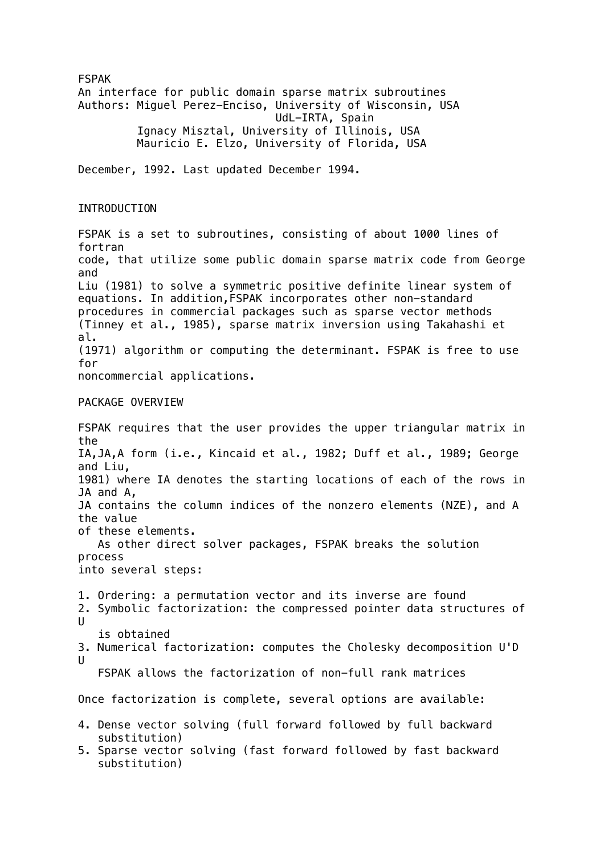FSPAK An interface for public domain sparse matrix subroutines Authors: Miguel Perez-Enciso, University of Wisconsin, USA UdL-IRTA, Spain Ignacy Misztal, University of Illinois, USA Mauricio E. Elzo, University of Florida, USA December, 1992. Last updated December 1994. INTRODUCTION FSPAK is a set to subroutines, consisting of about 1000 lines of fortran code, that utilize some public domain sparse matrix code from George and Liu (1981) to solve a symmetric positive definite linear system of equations. In addition,FSPAK incorporates other non-standard procedures in commercial packages such as sparse vector methods (Tinney et al., 1985), sparse matrix inversion using Takahashi et al. (1971) algorithm or computing the determinant. FSPAK is free to use for noncommercial applications. PACKAGE OVERVIEW FSPAK requires that the user provides the upper triangular matrix in the IA,JA,A form (i.e., Kincaid et al., 1982; Duff et al., 1989; George and Liu, 1981) where IA denotes the starting locations of each of the rows in JA and A, JA contains the column indices of the nonzero elements (NZE), and A the value of these elements. As other direct solver packages, FSPAK breaks the solution process into several steps: 1. Ordering: a permutation vector and its inverse are found 2. Symbolic factorization: the compressed pointer data structures of  $\mathbf{U}$  is obtained 3. Numerical factorization: computes the Cholesky decomposition U'D  $\mathbf{H}$  FSPAK allows the factorization of non-full rank matrices Once factorization is complete, several options are available: 4. Dense vector solving (full forward followed by full backward substitution) 5. Sparse vector solving (fast forward followed by fast backward substitution)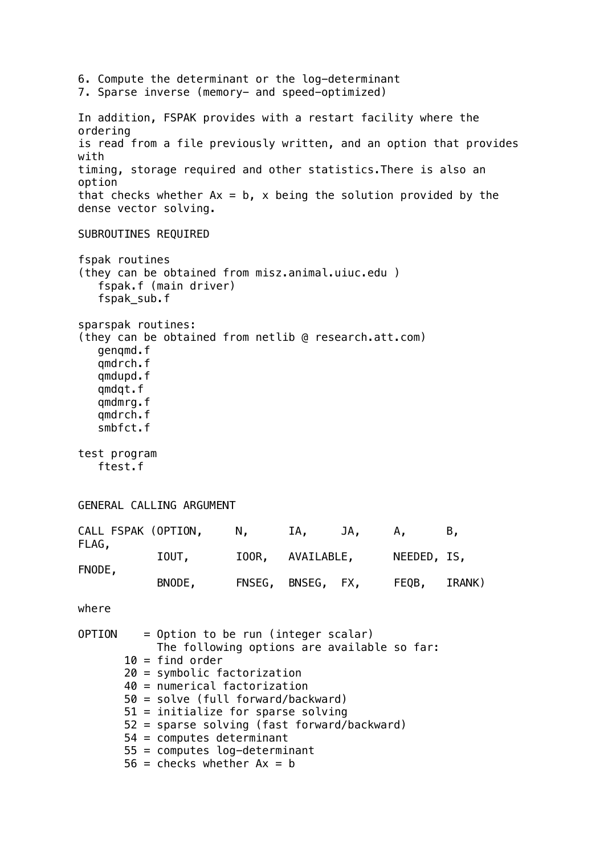6. Compute the determinant or the log-determinant 7. Sparse inverse (memory- and speed-optimized) In addition, FSPAK provides with a restart facility where the ordering is read from a file previously written, and an option that provides with timing, storage required and other statistics.There is also an option that checks whether  $Ax = b$ , x being the solution provided by the dense vector solving. SUBROUTINES REQUIRED fspak routines (they can be obtained from misz.animal.uiuc.edu ) fspak.f (main driver) fspak\_sub.f sparspak routines: (they can be obtained from netlib @ research.att.com) genqmd.f qmdrch.f qmdupd.f qmdqt.f qmdmrg.f qmdrch.f smbfct.f test program ftest.f GENERAL CALLING ARGUMENT CALL FSPAK (OPTION, N, IA, JA, A, B, FLAG, IOUT, IOOR, AVAILABLE, NEEDED, IS, FNODE, BNODE, FNSEG, BNSEG, FX, FEQB, IRANK) where  $OPTION = Option to be run (integer scalar)$  The following options are available so far:  $10 =$  find order 20 = symbolic factorization 40 = numerical factorization 50 = solve (full forward/backward) 51 = initialize for sparse solving 52 = sparse solving (fast forward/backward) 54 = computes determinant 55 = computes log-determinant  $56$  = checks whether  $Ax = b$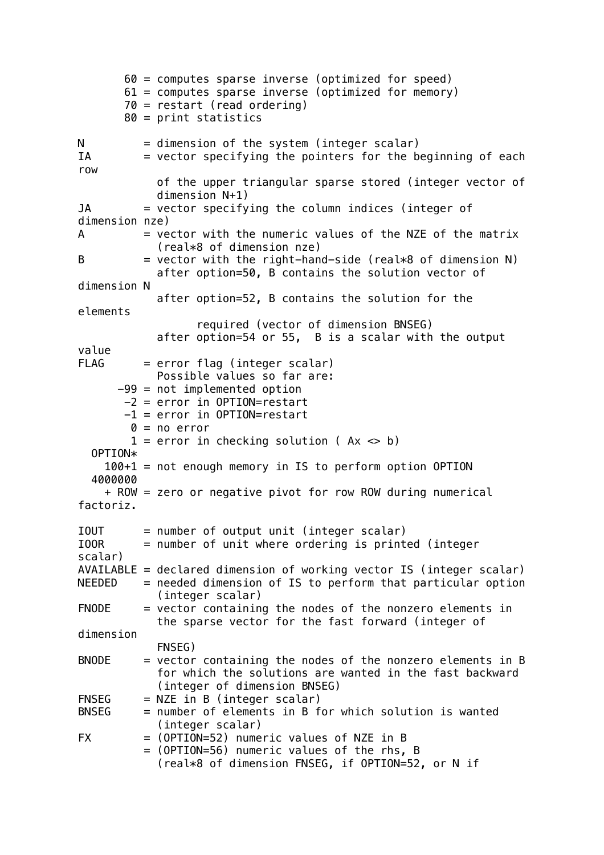```
 60 = computes sparse inverse (optimized for speed)
        61 = computes sparse inverse (optimized for memory)
        70 = restart (read ordering)
        80 = print statistics
N = dimension of the system (integer scalar)
IA = vector specifying the pointers for the beginning of each
row
             of the upper triangular sparse stored (integer vector of
             dimension N+1)
JA = vector specifying the column indices (integer of
dimension nze)
A = vector with the numeric values of the NZE of the matrix
             (real*8 of dimension nze)
B = vector with the right-hand-side (real*8 of dimension N) after option=50, B contains the solution vector of 
dimension N
             after option=52, B contains the solution for the 
elements
                   required (vector of dimension BNSEG)
             after option=54 or 55, B is a scalar with the output 
value
FLAG = error flag (integer scalar) Possible values so far are:
       -99 = not implemented option
       -2 = error in OPTION=restart
        -1 = error in OPTION=restart
        0 = no error1 = error in checking solution (Ax \leq b)
   OPTION*
     100+1 = not enough memory in IS to perform option OPTION
   4000000
     + ROW = zero or negative pivot for row ROW during numerical 
factoriz.
IOUT = number of output unit (integer scalar)IOOR = number of unit where ordering is printed (integer 
scalar)
AVAILABLE = declared dimension of working vector IS (integer scalar)
NEEDED = needed dimension of IS to perform that particular option
             (integer scalar)
FNODE = vector containing the nodes of the nonzero elements in
             the sparse vector for the fast forward (integer of 
dimension
             FNSEG)
BNODE = vector containing the nodes of the nonzero elements in B
             for which the solutions are wanted in the fast backward
             (integer of dimension BNSEG)
FNSEG = NZE in B (integer scalar)
BNSEG = number of elements in B for which solution is wanted
             (integer scalar)
FX = (OPTION = 52) numeric values of NZE in B
           = (OPTION=56) numeric values of the rhs, B
             (real*8 of dimension FNSEG, if OPTION=52, or N if
```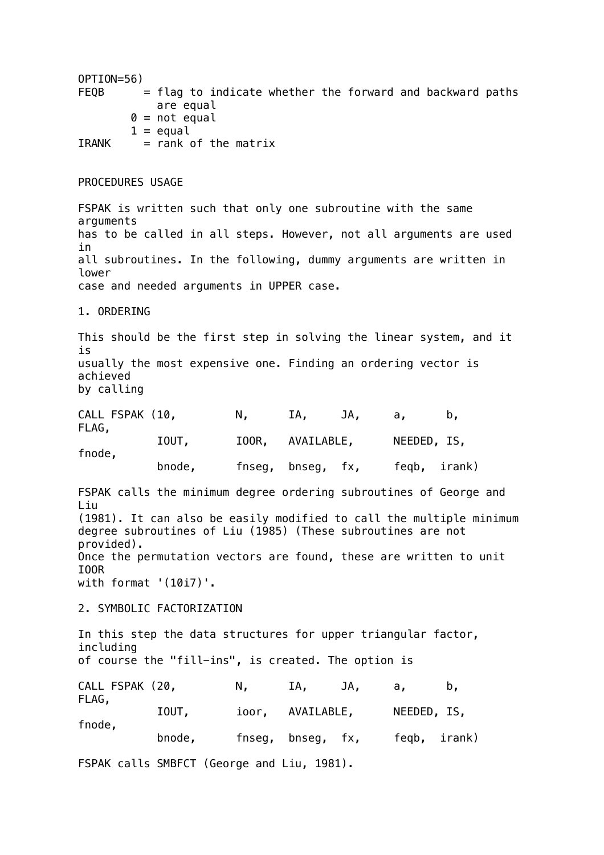OPTION=56)  $FEQB$  = flag to indicate whether the forward and backward paths are equal  $0 = not equal$  $1 =$  equal  $IRANK = rank of the matrix$ PROCEDURES USAGE FSPAK is written such that only one subroutine with the same arguments has to be called in all steps. However, not all arguments are used in all subroutines. In the following, dummy arguments are written in lower case and needed arguments in UPPER case. 1. ORDERING This should be the first step in solving the linear system, and it is usually the most expensive one. Finding an ordering vector is achieved by calling CALL FSPAK (10, N, IA, JA, a, b, FLAG, IOUT, IOOR, AVAILABLE, NEEDED, IS, fnode, bnode, fnseg, bnseg, fx, feqb, irank) FSPAK calls the minimum degree ordering subroutines of George and Liu (1981). It can also be easily modified to call the multiple minimum degree subroutines of Liu (1985) (These subroutines are not provided). Once the permutation vectors are found, these are written to unit IOOR with format '(10i7)'. 2. SYMBOLIC FACTORIZATION In this step the data structures for upper triangular factor, including of course the "fill-ins", is created. The option is CALL FSPAK (20, N, IA, JA, a, b, FLAG, IOUT, ioor, AVAILABLE, NEEDED, IS, fnode, bnode, fnseg, bnseg, fx, feqb, irank) FSPAK calls SMBFCT (George and Liu, 1981).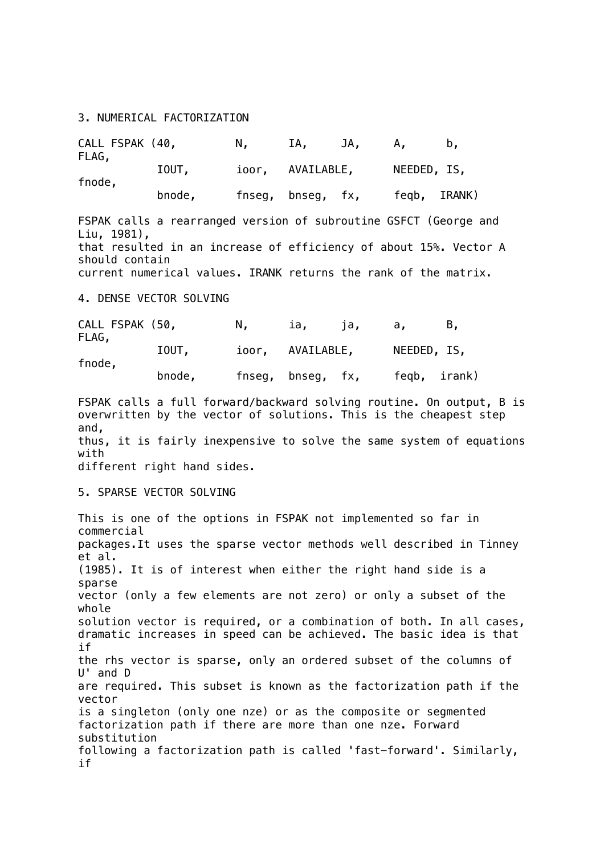3. NUMERICAL FACTORIZATION

| CALL FSPAK (40,<br>FLAG, |        | N. | IA.               | JA. | А.           |  |
|--------------------------|--------|----|-------------------|-----|--------------|--|
| fnode,                   | IOUT,  |    | ioor, AVAILABLE,  |     | NEEDED, IS,  |  |
|                          | bnode, |    | fnseg, bnseg, fx, |     | fegb, IRANK) |  |

FSPAK calls a rearranged version of subroutine GSFCT (George and Liu, 1981), that resulted in an increase of efficiency of about 15%. Vector A should contain current numerical values. IRANK returns the rank of the matrix.

4. DENSE VECTOR SOLVING

| CALL FSPAK (50,<br>FLAG, |        | N. | ia.               | па. | а.          | в.           |
|--------------------------|--------|----|-------------------|-----|-------------|--------------|
| fnode,                   | IOUT,  |    | ioor, AVAILABLE,  |     | NEEDED, IS, |              |
|                          | bnode, |    | fnseg, bnseg, fx, |     |             | feqb, irank) |

FSPAK calls a full forward/backward solving routine. On output, B is overwritten by the vector of solutions. This is the cheapest step and, thus, it is fairly inexpensive to solve the same system of equations with

different right hand sides.

### 5. SPARSE VECTOR SOLVING

This is one of the options in FSPAK not implemented so far in commercial packages.It uses the sparse vector methods well described in Tinney et al. (1985). It is of interest when either the right hand side is a sparse vector (only a few elements are not zero) or only a subset of the whole solution vector is required, or a combination of both. In all cases, dramatic increases in speed can be achieved. The basic idea is that if the rhs vector is sparse, only an ordered subset of the columns of U' and D are required. This subset is known as the factorization path if the vector is a singleton (only one nze) or as the composite or segmented factorization path if there are more than one nze. Forward substitution following a factorization path is called 'fast-forward'. Similarly, if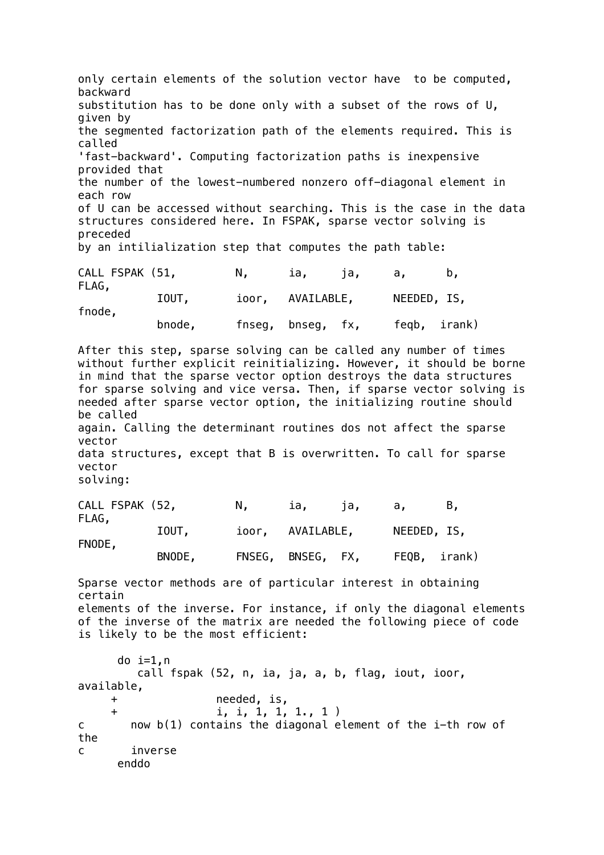only certain elements of the solution vector have to be computed, backward substitution has to be done only with a subset of the rows of U, given by the segmented factorization path of the elements required. This is called 'fast-backward'. Computing factorization paths is inexpensive provided that the number of the lowest-numbered nonzero off-diagonal element in each row of U can be accessed without searching. This is the case in the data structures considered here. In FSPAK, sparse vector solving is preceded by an intilialization step that computes the path table: CALL FSPAK (51, N, ia, ja, a, b, FLAG, IOUT, ioor, AVAILABLE, NEEDED, IS, fnode, bnode, fnseg, bnseg, fx, feqb, irank) After this step, sparse solving can be called any number of times without further explicit reinitializing. However, it should be borne in mind that the sparse vector option destroys the data structures for sparse solving and vice versa. Then, if sparse vector solving is needed after sparse vector option, the initializing routine should be called again. Calling the determinant routines dos not affect the sparse vector data structures, except that B is overwritten. To call for sparse vector solving: CALL FSPAK (52, N, ia, ja, a, B, FLAG, IOUT, ioor, AVAILABLE, NEEDED, IS, FNODE, BNODE, FNSEG, BNSEG, FX, FEQB, irank) Sparse vector methods are of particular interest in obtaining certain elements of the inverse. For instance, if only the diagonal elements of the inverse of the matrix are needed the following piece of code is likely to be the most efficient: do  $i=1.n$  call fspak (52, n, ia, ja, a, b, flag, iout, ioor, available, + needed, is, + i, i, 1, 1, 1., 1 ) c now b(1) contains the diagonal element of the i-th row of the c inverse enddo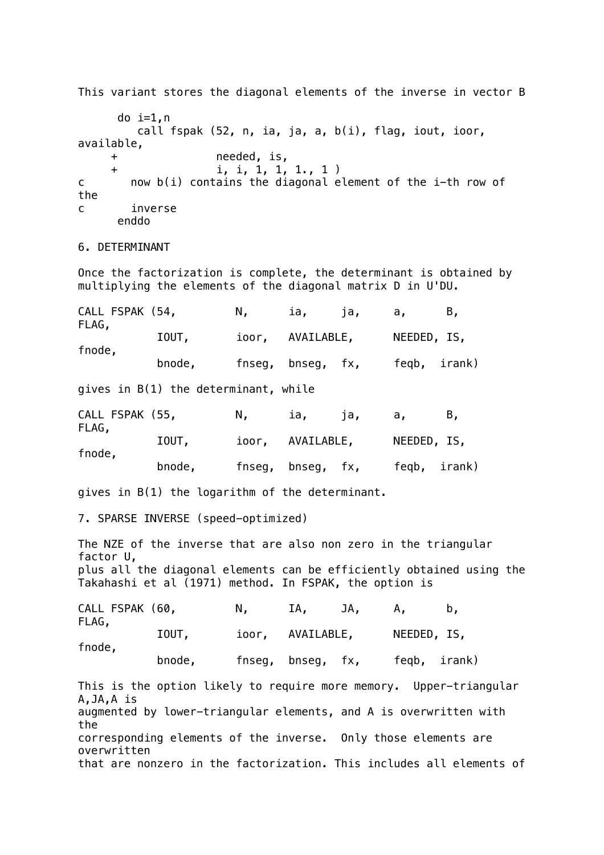This variant stores the diagonal elements of the inverse in vector B do  $i=1,n$  call fspak (52, n, ia, ja, a, b(i), flag, iout, ioor, available, + needed, is, + i, i, 1, 1, 1., 1 ) c now b(i) contains the diagonal element of the i-th row of the c inverse enddo 6. DETERMINANT Once the factorization is complete, the determinant is obtained by multiplying the elements of the diagonal matrix D in U'DU. CALL FSPAK (54, N, ia, ja, a, B, FLAG, IOUT, ioor, AVAILABLE, NEEDED, IS, fnode, bnode, fnseg, bnseg, fx, feqb, irank) gives in B(1) the determinant, while CALL FSPAK (55, N, ia, ja, a, B, FLAG, IOUT, ioor, AVAILABLE, NEEDED, IS, fnode, bnode, fnseg, bnseg, fx, feqb, irank) gives in B(1) the logarithm of the determinant. 7. SPARSE INVERSE (speed-optimized) The NZE of the inverse that are also non zero in the triangular factor U, plus all the diagonal elements can be efficiently obtained using the Takahashi et al (1971) method. In FSPAK, the option is CALL FSPAK (60, N, IA, JA, A, b, FLAG, IOUT, ioor, AVAILABLE, NEEDED, IS, fnode, bnode, fnseg, bnseg, fx, feqb, irank) This is the option likely to require more memory. Upper-triangular A,JA,A is augmented by lower-triangular elements, and A is overwritten with the corresponding elements of the inverse. Only those elements are overwritten that are nonzero in the factorization. This includes all elements of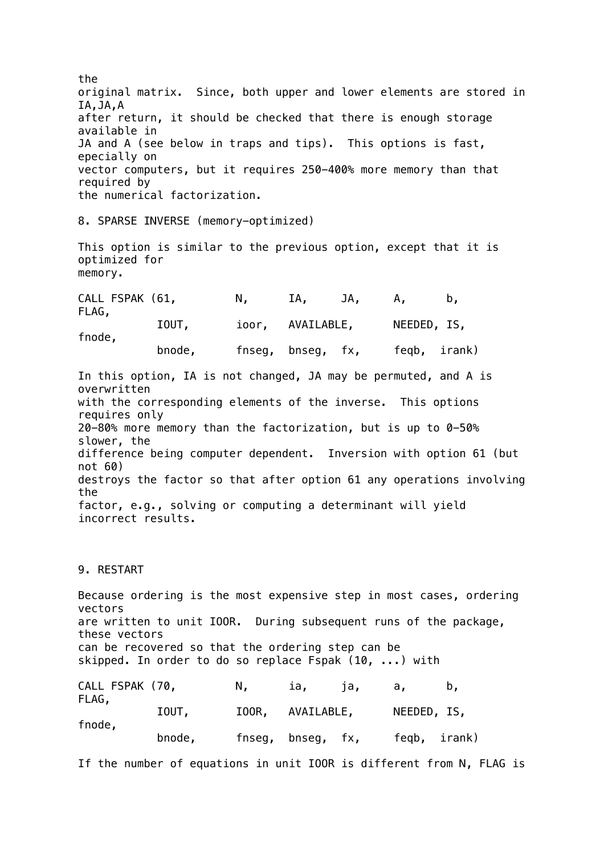the original matrix. Since, both upper and lower elements are stored in IA,JA,A after return, it should be checked that there is enough storage available in JA and A (see below in traps and tips). This options is fast, epecially on vector computers, but it requires 250-400% more memory than that required by the numerical factorization.

8. SPARSE INVERSE (memory-optimized)

This option is similar to the previous option, except that it is optimized for memory.

| CALL FSPAK (61,<br>FLAG, |        | N. | IA.               | JA. | А.           |  |
|--------------------------|--------|----|-------------------|-----|--------------|--|
| fnode,                   | IOUT,  |    | ioor, AVAILABLE,  |     | NEEDED, IS,  |  |
|                          | bnode, |    | fnseg, bnseg, fx, |     | feqb, irank) |  |

In this option, IA is not changed, JA may be permuted, and A is overwritten with the corresponding elements of the inverse. This options requires only 20-80% more memory than the factorization, but is up to 0-50% slower, the difference being computer dependent. Inversion with option 61 (but not 60) destroys the factor so that after option 61 any operations involving the factor, e.g., solving or computing a determinant will yield incorrect results.

### 9. RESTART

Because ordering is the most expensive step in most cases, ordering vectors are written to unit IOOR. During subsequent runs of the package, these vectors can be recovered so that the ordering step can be skipped. In order to do so replace Fspak (10, ...) with CALL FSPAK (70, N, ia, ja, a, b, FLAG, IOUT, IOOR, AVAILABLE, NEEDED, IS,

| fnode, |        |                   |  |              |
|--------|--------|-------------------|--|--------------|
|        | bnode, | fnseg, bnseg, fx, |  | feqb, irank) |

If the number of equations in unit IOOR is different from N, FLAG is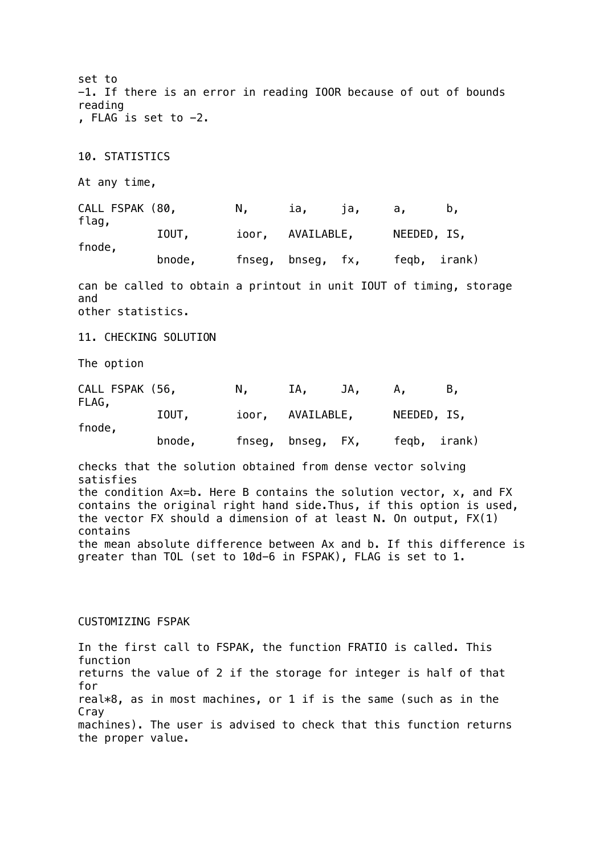set to -1. If there is an error in reading IOOR because of out of bounds reading , FLAG is set to  $-2$ . 10. STATISTICS At any time, CALL FSPAK (80, N, ia, ja, a, b, flag, IOUT, ioor, AVAILABLE, NEEDED, IS, fnode, bnode, fnseg, bnseg, fx, feqb, irank) can be called to obtain a printout in unit IOUT of timing, storage and other statistics. 11. CHECKING SOLUTION The option CALL FSPAK (56, N, IA, JA, A, B, FLAG, IOUT, ioor, AVAILABLE, NEEDED, IS, fnode, bnode, fnseg, bnseg, FX, feqb, irank) checks that the solution obtained from dense vector solving satisfies the condition Ax=b. Here B contains the solution vector, x, and FX contains the original right hand side.Thus, if this option is used, the vector FX should a dimension of at least N. On output, FX(1) contains the mean absolute difference between Ax and b. If this difference is greater than TOL (set to 10d-6 in FSPAK), FLAG is set to 1.

### CUSTOMIZING FSPAK

In the first call to FSPAK, the function FRATIO is called. This function returns the value of 2 if the storage for integer is half of that for real\*8, as in most machines, or 1 if is the same (such as in the Cray machines). The user is advised to check that this function returns the proper value.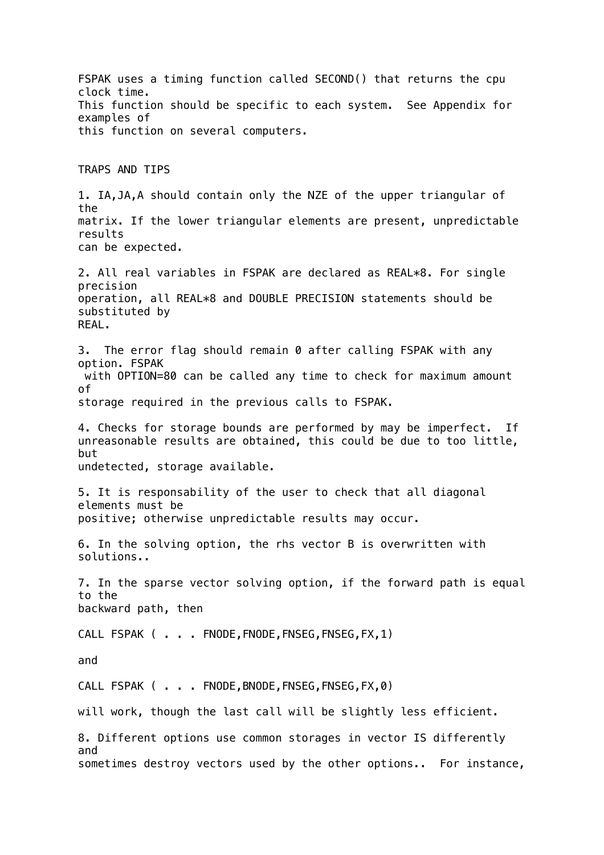FSPAK uses a timing function called SECOND() that returns the cpu clock time. This function should be specific to each system. See Appendix for examples of this function on several computers. TRAPS AND TIPS 1. IA,JA,A should contain only the NZE of the upper triangular of the matrix. If the lower triangular elements are present, unpredictable results can be expected. 2. All real variables in FSPAK are declared as REAL\*8. For single precision operation, all REAL\*8 and DOUBLE PRECISION statements should be substituted by REAL. 3. The error flag should remain 0 after calling FSPAK with any option. FSPAK with OPTION=80 can be called any time to check for maximum amount of storage required in the previous calls to FSPAK. 4. Checks for storage bounds are performed by may be imperfect. If unreasonable results are obtained, this could be due to too little, but undetected, storage available. 5. It is responsability of the user to check that all diagonal elements must be positive; otherwise unpredictable results may occur. 6. In the solving option, the rhs vector B is overwritten with solutions.. 7. In the sparse vector solving option, if the forward path is equal to the backward path, then CALL FSPAK ( . . . FNODE, FNODE, FNSEG, FNSEG, FX, 1) and CALL FSPAK ( . . FNODE, BNODE, FNSEG, FNSEG, FX.0) will work, though the last call will be slightly less efficient. 8. Different options use common storages in vector IS differently and sometimes destroy vectors used by the other options.. For instance,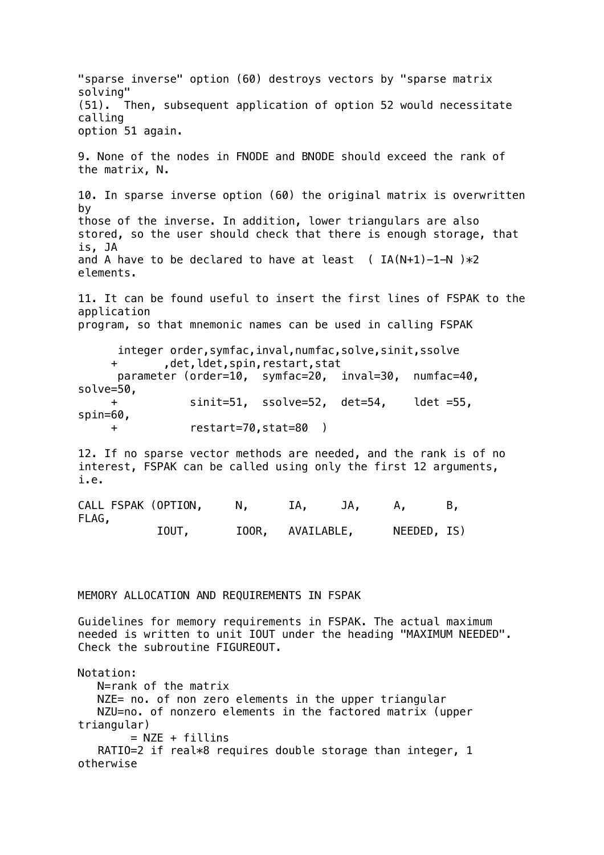"sparse inverse" option (60) destroys vectors by "sparse matrix solving" (51). Then, subsequent application of option 52 would necessitate calling option 51 again. 9. None of the nodes in FNODE and BNODE should exceed the rank of the matrix, N. 10. In sparse inverse option (60) the original matrix is overwritten by those of the inverse. In addition, lower triangulars are also stored, so the user should check that there is enough storage, that is, JA and A have to be declared to have at least ( $IA(N+1)-1-N$ )  $*2$ elements. 11. It can be found useful to insert the first lines of FSPAK to the application program, so that mnemonic names can be used in calling FSPAK integer order,symfac,inval,numfac,solve,sinit,ssolve + ,det,ldet,spin,restart,stat parameter (order=10, symfac=20, inval=30, numfac=40, solve=50, + sinit=51, ssolve=52, det=54, ldet =55, spin=60, + restart=70,stat=80 ) 12. If no sparse vector methods are needed, and the rank is of no interest, FSPAK can be called using only the first 12 arguments, i.e. CALL FSPAK (OPTION, N, IA, JA, A, B, FLAG, IOUT, IOOR, AVAILABLE, NEEDED, IS) MEMORY ALLOCATION AND REQUIREMENTS IN FSPAK Guidelines for memory requirements in FSPAK. The actual maximum needed is written to unit IOUT under the heading "MAXIMUM NEEDED". Check the subroutine FIGUREOUT. Notation: N=rank of the matrix NZE= no. of non zero elements in the upper triangular NZU=no. of nonzero elements in the factored matrix (upper triangular)  $=$  NZE + fillins RATIO=2 if real\*8 requires double storage than integer, 1 otherwise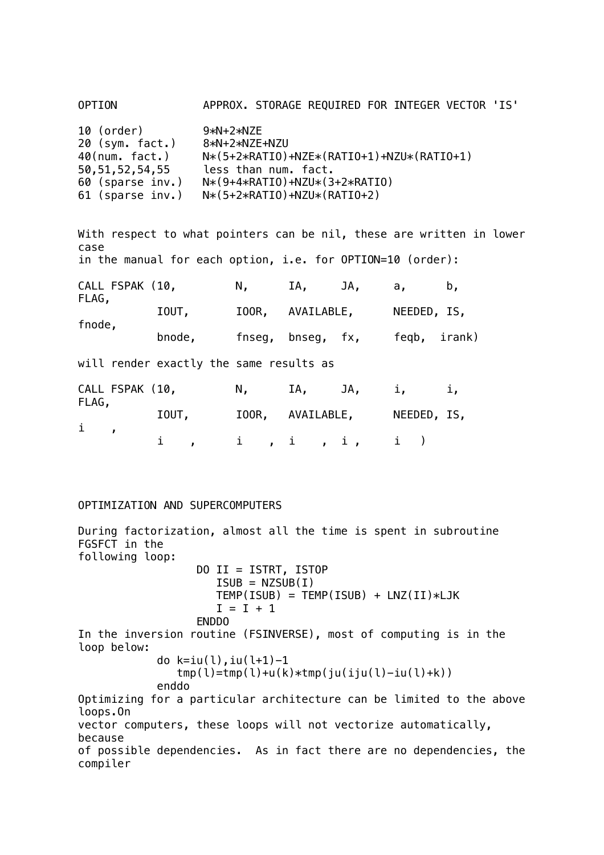| 10 (order)         | $9*N+2*NZE$                                     |
|--------------------|-------------------------------------------------|
| 20 (sym. fact.)    | 8*N+2*NZE+NZU                                   |
| $40$ (num. fact.)  | $N*(5+2*RATI0) + NZE*(RATIO+1) + NZU*(RATIO+1)$ |
| 50, 51, 52, 54, 55 | less than num. fact.                            |
| 60 (sparse inv.)   | $N*(9+4*RATIO) + NZU*(3+2*RATIO)$               |

OPTION APPROX. STORAGE REQUIRED FOR INTEGER VECTOR 'IS'

61 (sparse inv.) N\*(5+2\*RATIO)+NZU\*(RATIO+2)

With respect to what pointers can be nil, these are written in lower case in the manual for each option, i.e. for OPTION=10 (order): CALL FSPAK (10, N, IA, JA, a, b, FLAG, IOUT, IOOR, AVAILABLE, NEEDED, IS, fnode, bnode, fnseg, bnseg, fx, feqb, irank) will render exactly the same results as CALL FSPAK (10, N, IA, JA, i, i, FLAG, IOUT, IOOR, AVAILABLE, NEEDED, IS,

# i , i , i , i , i , i )

## OPTIMIZATION AND SUPERCOMPUTERS

During factorization, almost all the time is spent in subroutine FGSFCT in the following loop: DO II = ISTRT, ISTOP  $ISUB = NZSUB(I)$  $TEMP(ISUB) = TEMP(ISUB) + LNZ(II)*LJK$  $I = I + 1$  ENDDO In the inversion routine (FSINVERSE), most of computing is in the loop below: do k=iu(l),iu(l+1)-1  $tmp(1)=tmp(1)+u(k)*tmp(iu(iju(1)-iu(1)+k))$  enddo Optimizing for a particular architecture can be limited to the above loops.On vector computers, these loops will not vectorize automatically, because of possible dependencies. As in fact there are no dependencies, the compiler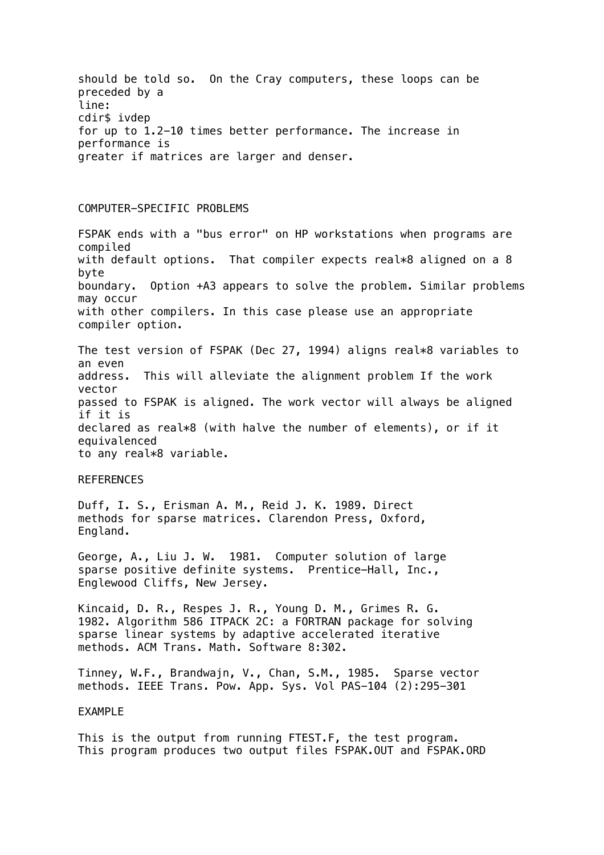should be told so. On the Cray computers, these loops can be preceded by a line: cdir\$ ivdep for up to 1.2-10 times better performance. The increase in performance is greater if matrices are larger and denser.

### COMPUTER-SPECIFIC PROBLEMS

FSPAK ends with a "bus error" on HP workstations when programs are compiled with default options. That compiler expects real\*8 aligned on a 8 byte boundary. Option +A3 appears to solve the problem. Similar problems may occur with other compilers. In this case please use an appropriate compiler option.

The test version of FSPAK (Dec 27, 1994) aligns real\*8 variables to an even address. This will alleviate the alignment problem If the work vector passed to FSPAK is aligned. The work vector will always be aligned if it is declared as real\*8 (with halve the number of elements), or if it equivalenced to any real\*8 variable.

#### **REFERENCES**

Duff, I. S., Erisman A. M., Reid J. K. 1989. Direct methods for sparse matrices. Clarendon Press, Oxford, England.

George, A., Liu J. W. 1981. Computer solution of large sparse positive definite systems. Prentice-Hall, Inc., Englewood Cliffs, New Jersey.

Kincaid, D. R., Respes J. R., Young D. M., Grimes R. G. 1982. Algorithm 586 ITPACK 2C: a FORTRAN package for solving sparse linear systems by adaptive accelerated iterative methods. ACM Trans. Math. Software 8:302.

Tinney, W.F., Brandwajn, V., Chan, S.M., 1985. Sparse vector methods. IEEE Trans. Pow. App. Sys. Vol PAS-104 (2):295-301

### EXAMPLE

This is the output from running FTEST.F, the test program. This program produces two output files FSPAK.OUT and FSPAK.ORD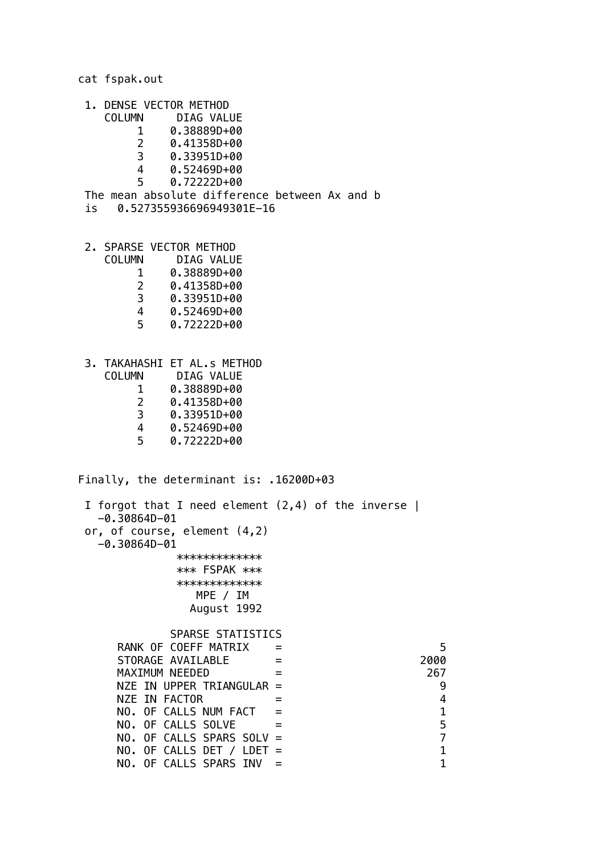cat fspak.out

- 1. DENSE VECTOR METHOD
	- COLUMN DIAG VALUE
		- 1 0.38889D+00
		- 2 0.41358D+00
		- 3 0.33951D+00
		- 4 0.52469D+00
		- 5 0.72222D+00
- The mean absolute difference between Ax and b
- is 0.527355936696949301E-16
- 2. SPARSE VECTOR METHOD
	- COLUMN DIAG VALUE
		- 1 0.38889D+00<br>2 0.41358D+00
			- 2 0.41358D+00
		- 3 0.33951D+00
		- 4 0.52469D+00
		- 5 0.72222D+00
- 3. TAKAHASHI ET AL.s METHOD
	- DIAG VALUE
	- 1 0.38889D+00
	- 0.41358D+00
	- 3 0.33951D+00
	- 4 0.52469D+00
	- 5 0.72222D+00

Finally, the determinant is: .16200D+03

| 5    |
|------|
| 2000 |
| 267  |
| 9    |
| 4    |
| 1    |
| 5    |
| 7    |
| 1    |
| 1    |
|      |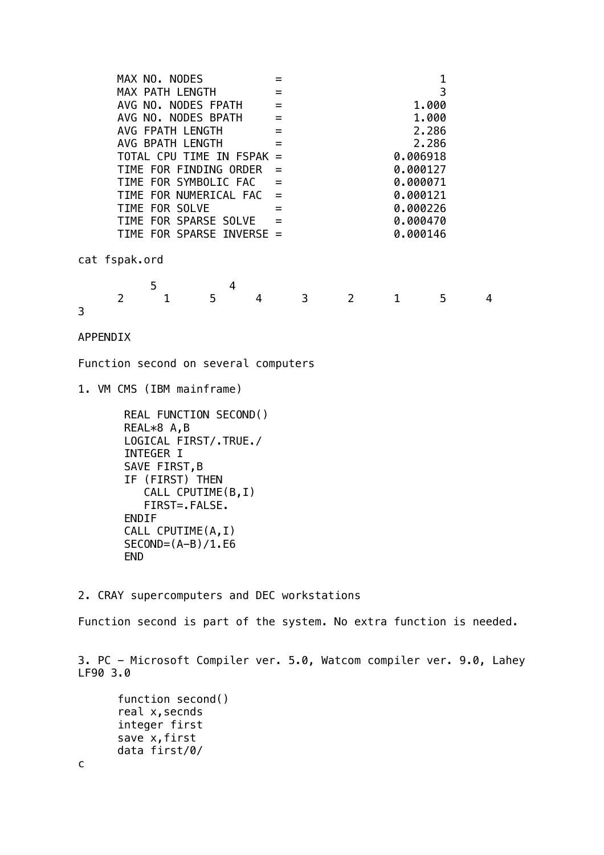| MAX NO. NODES             |                |                                      |   | $=$ |              |                |              | 1        |   |
|---------------------------|----------------|--------------------------------------|---|-----|--------------|----------------|--------------|----------|---|
| MAX PATH LENGTH           |                |                                      |   | $=$ |              |                |              | 3        |   |
| AVG NO. NODES FPATH       |                |                                      |   |     |              | 1.000          |              |          |   |
|                           |                | AVG NO. NODES BPATH                  |   | $=$ |              |                |              | 1.000    |   |
|                           |                | AVG FPATH LENGTH                     |   | $=$ |              |                |              | 2.286    |   |
|                           |                | AVG BPATH LENGTH                     |   | $=$ |              |                |              | 2.286    |   |
|                           |                | TOTAL CPU TIME IN FSPAK =            |   |     |              |                |              | 0.006918 |   |
|                           |                | TIME FOR FINDING ORDER               |   |     |              |                |              | 0.000127 |   |
|                           |                | TIME FOR SYMBOLIC FAC                |   | $=$ |              |                |              | 0.000071 |   |
|                           |                | TIME FOR NUMERICAL FAC               |   | $=$ |              |                |              | 0.000121 |   |
|                           |                | TIME FOR SOLVE                       |   | $=$ |              |                |              | 0.000226 |   |
|                           |                | TIME FOR SPARSE SOLVE                |   | $=$ |              |                |              | 0.000470 |   |
|                           |                | TIME FOR SPARSE INVERSE =            |   |     |              | 0.000146       |              |          |   |
|                           | cat fspak.ord  |                                      |   |     |              |                |              |          |   |
|                           |                | 5                                    | 4 |     |              |                |              |          |   |
|                           | $\overline{2}$ | $\mathbf{1}$                         | 5 | 4   | $\mathbf{3}$ | $\overline{2}$ | $\mathbf{1}$ | 5        | 4 |
| 3                         |                |                                      |   |     |              |                |              |          |   |
|                           |                |                                      |   |     |              |                |              |          |   |
|                           | APPENDIX       |                                      |   |     |              |                |              |          |   |
|                           |                | Function second on several computers |   |     |              |                |              |          |   |
| 1. VM CMS (IBM mainframe) |                |                                      |   |     |              |                |              |          |   |
|                           |                | DEAL FUNCTION CECOND()               |   |     |              |                |              |          |   |

```
 REAL FUNCTION SECOND()
 REAL*8 A,B
 LOGICAL FIRST/.TRUE./
 INTEGER I
SAVE FIRST, B
 IF (FIRST) THEN
    CALL CPUTIME(B,I)
    FIRST=.FALSE.
 ENDIF
 CALL CPUTIME(A,I)
SECOND = (A-B)/1.E6 END
```
2. CRAY supercomputers and DEC workstations

Function second is part of the system. No extra function is needed.

3. PC - Microsoft Compiler ver. 5.0, Watcom compiler ver. 9.0, Lahey LF90 3.0

```
 function second()
real x, secnds
 integer first
 save x,first
 data first/0/
```
c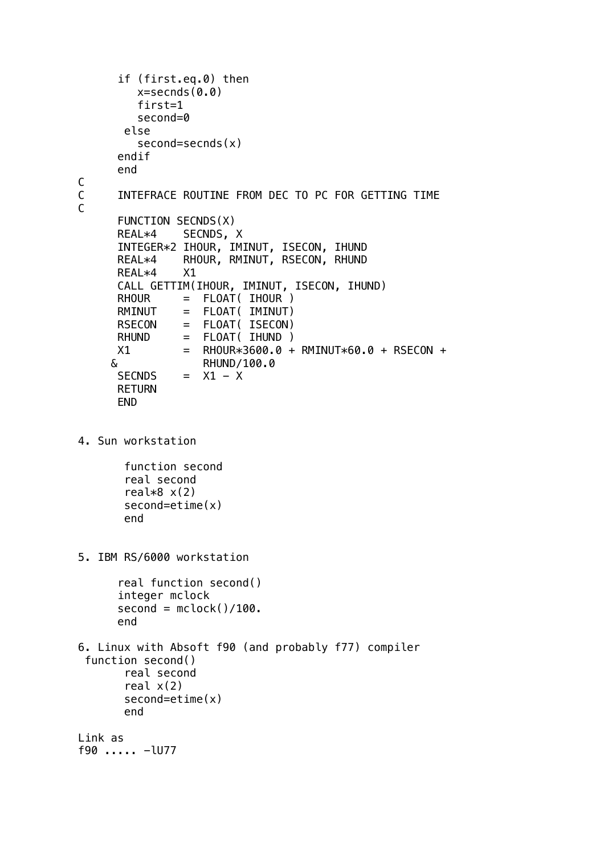```
 if (first.eq.0) then
         x =secnds(0.0) first=1
          second=0
        else
          second=secnds(x)
       endif
       end
C
C INTEFRACE ROUTINE FROM DEC TO PC FOR GETTING TIME
C
       FUNCTION SECNDS(X)
       REAL*4 SECNDS, X
       INTEGER*2 IHOUR, IMINUT, ISECON, IHUND
       REAL*4 RHOUR, RMINUT, RSECON, RHUND
       REAL*4 X1
       CALL GETTIM(IHOUR, IMINUT, ISECON, IHUND)
       RHOUR = FLOAT( IHOUR )
       RMINUT = FLOAT( IMINUT)
      RSECON = FLOAT( ISECON)<br>RHUND = FLOAT( IHUND )
                = FLOAT( IHUND )
      X1 = RHOUR*3600.0 + RMINUT*60.0 + RSECON + & RHUND/100.0
      SECNDS = X1 - X RETURN
       END
4. Sun workstation
        function second
        real second
       real*8 x(2) second=etime(x)
        end
5. IBM RS/6000 workstation
       real function second()
       integer mclock
      second = mclock() / 100. end
6. Linux with Absoft f90 (and probably f77) compiler
  function second()
        real second
       real x(2) second=etime(x)
        end
Link as 
f90 ..... -lU77
```